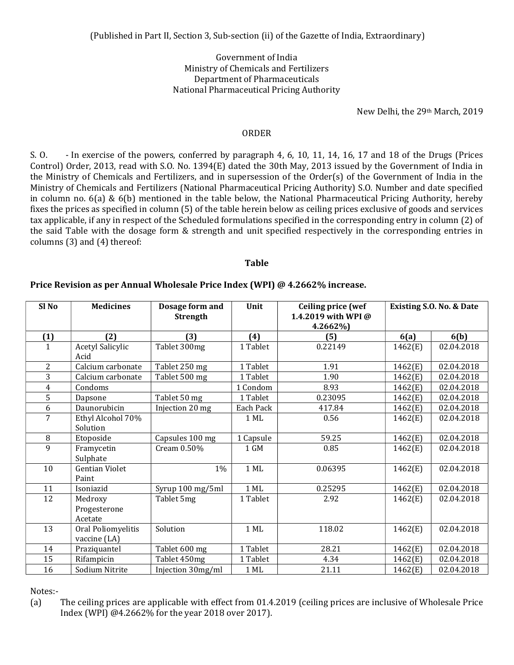## Government of India Ministry of Chemicals and Fertilizers Department of Pharmaceuticals National Pharmaceutical Pricing Authority

New Delhi, the 29th March, 2019

## ORDER

S. O. - In exercise of the powers, conferred by paragraph 4, 6, 10, 11, 14, 16, 17 and 18 of the Drugs (Prices Control) Order, 2013, read with S.O. No. 1394(E) dated the 30th May, 2013 issued by the Government of India in the Ministry of Chemicals and Fertilizers, and in supersession of the Order(s) of the Government of India in the Ministry of Chemicals and Fertilizers (National Pharmaceutical Pricing Authority) S.O. Number and date specified in column no. 6(a) & 6(b) mentioned in the table below, the National Pharmaceutical Pricing Authority, hereby fixes the prices as specified in column (5) of the table herein below as ceiling prices exclusive of goods and services tax applicable, if any in respect of the Scheduled formulations specified in the corresponding entry in column (2) of the said Table with the dosage form & strength and unit specified respectively in the corresponding entries in columns (3) and (4) thereof:

Table

| Sl <sub>No</sub> | <b>Medicines</b>                   | Dosage form and<br><b>Strength</b> | Unit      | <b>Ceiling price (wef</b><br>1.4.2019 with WPI @<br>4.2662%) | Existing S.O. No. & Date |            |
|------------------|------------------------------------|------------------------------------|-----------|--------------------------------------------------------------|--------------------------|------------|
| (1)              | (2)                                | (3)                                | (4)       | (5)                                                          | 6(a)                     | 6(b)       |
| 1                | <b>Acetyl Salicylic</b><br>Acid    | Tablet 300mg                       | 1 Tablet  | 0.22149                                                      | 1462(E)                  | 02.04.2018 |
| $\overline{2}$   | Calcium carbonate                  | Tablet 250 mg                      | 1 Tablet  | 1.91                                                         | 1462(E)                  | 02.04.2018 |
| 3                | Calcium carbonate                  | Tablet 500 mg                      | 1 Tablet  | 1.90                                                         | 1462(E)                  | 02.04.2018 |
| 4                | Condoms                            |                                    | 1 Condom  | 8.93                                                         | 1462(E)                  | 02.04.2018 |
| 5                | Dapsone                            | Tablet 50 mg                       | 1 Tablet  | 0.23095                                                      | 1462(E)                  | 02.04.2018 |
| 6                | Daunorubicin                       | Injection 20 mg                    | Each Pack | 417.84                                                       | 1462(E)                  | 02.04.2018 |
| 7                | Ethyl Alcohol 70%<br>Solution      |                                    | 1 ML      | 0.56                                                         | 1462(E)                  | 02.04.2018 |
| 8                | Etoposide                          | Capsules 100 mg                    | 1 Capsule | 59.25                                                        | 1462(E)                  | 02.04.2018 |
| 9                | Framycetin<br>Sulphate             | Cream 0.50%                        | 1 GM      | 0.85                                                         | 1462(E)                  | 02.04.2018 |
| 10               | <b>Gentian Violet</b><br>Paint     | $1\%$                              | $1$ ML    | 0.06395                                                      | 1462(E)                  | 02.04.2018 |
| 11               | Isoniazid                          | Syrup 100 mg/5ml                   | $1$ ML    | 0.25295                                                      | 1462(E)                  | 02.04.2018 |
| 12               | Medroxy<br>Progesterone<br>Acetate | Tablet 5mg                         | 1 Tablet  | 2.92                                                         | 1462(E)                  | 02.04.2018 |
| 13               | Oral Poliomyelitis<br>vaccine (LA) | Solution                           | $1$ ML    | 118.02                                                       | 1462(E)                  | 02.04.2018 |
| 14               | Praziquantel                       | Tablet 600 mg                      | 1 Tablet  | 28.21                                                        | 1462(E)                  | 02.04.2018 |
| 15               | Rifampicin                         | Tablet 450mg                       | 1 Tablet  | 4.34                                                         | 1462(E)                  | 02.04.2018 |
| 16               | Sodium Nitrite                     | Injection 30mg/ml                  | 1 ML      | 21.11                                                        | 1462(E)                  | 02.04.2018 |

## Price Revision as per Annual Wholesale Price Index (WPI) @ 4.2662% increase.

Notes:-

(a) The ceiling prices are applicable with effect from 01.4.2019 (ceiling prices are inclusive of Wholesale Price Index (WPI) @4.2662% for the year 2018 over 2017).